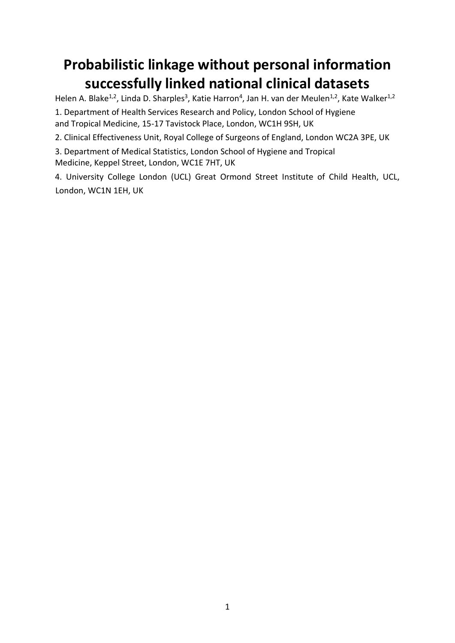# **Probabilistic linkage without personal information successfully linked national clinical datasets**

Helen A. Blake<sup>1,2</sup>, Linda D. Sharples<sup>3</sup>, Katie Harron<sup>4</sup>, Jan H. van der Meulen<sup>1,2</sup>, Kate Walker<sup>1,2</sup> 1. Department of Health Services Research and Policy, London School of Hygiene and Tropical Medicine, 15-17 Tavistock Place, London, WC1H 9SH, UK

2. Clinical Effectiveness Unit, Royal College of Surgeons of England, London WC2A 3PE, UK

3. Department of Medical Statistics, London School of Hygiene and Tropical Medicine, Keppel Street, London, WC1E 7HT, UK

4. University College London (UCL) Great Ormond Street Institute of Child Health, UCL, London, WC1N 1EH, UK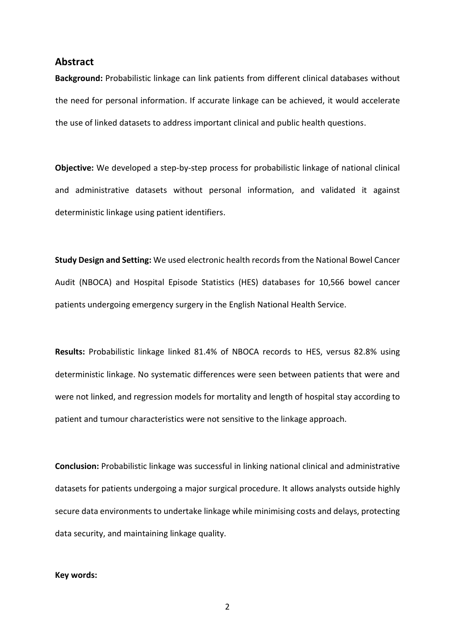#### **Abstract**

**Background:** Probabilistic linkage can link patients from different clinical databases without the need for personal information. If accurate linkage can be achieved, it would accelerate the use of linked datasets to address important clinical and public health questions.

**Objective:** We developed a step-by-step process for probabilistic linkage of national clinical and administrative datasets without personal information, and validated it against deterministic linkage using patient identifiers.

**Study Design and Setting:** We used electronic health records from the National Bowel Cancer Audit (NBOCA) and Hospital Episode Statistics (HES) databases for 10,566 bowel cancer patients undergoing emergency surgery in the English National Health Service.

**Results:** Probabilistic linkage linked 81.4% of NBOCA records to HES, versus 82.8% using deterministic linkage. No systematic differences were seen between patients that were and were not linked, and regression models for mortality and length of hospital stay according to patient and tumour characteristics were not sensitive to the linkage approach.

**Conclusion:** Probabilistic linkage was successful in linking national clinical and administrative datasets for patients undergoing a major surgical procedure. It allows analysts outside highly secure data environments to undertake linkage while minimising costs and delays, protecting data security, and maintaining linkage quality.

#### **Key words:**

2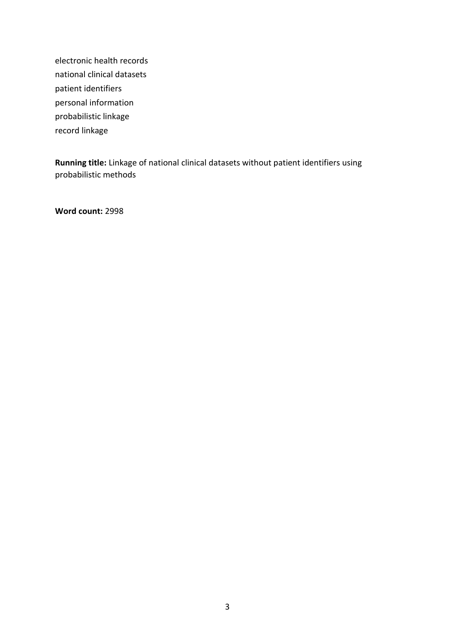electronic health records national clinical datasets patient identifiers personal information probabilistic linkage record linkage

**Running title:** Linkage of national clinical datasets without patient identifiers using probabilistic methods

**Word count:** 2998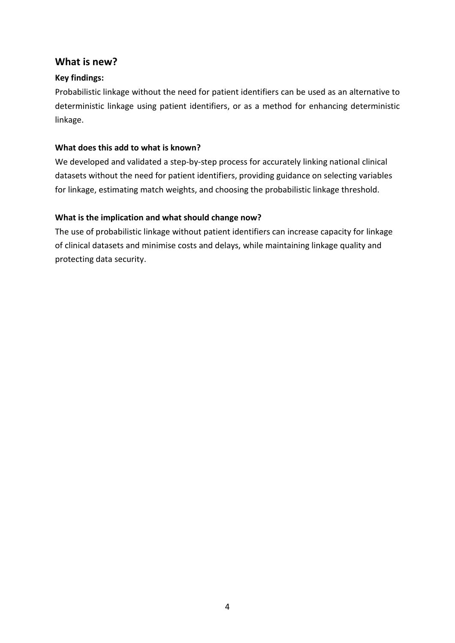### **What is new?**

### **Key findings:**

Probabilistic linkage without the need for patient identifiers can be used as an alternative to deterministic linkage using patient identifiers, or as a method for enhancing deterministic linkage.

### **What does this add to what is known?**

We developed and validated a step-by-step process for accurately linking national clinical datasets without the need for patient identifiers, providing guidance on selecting variables for linkage, estimating match weights, and choosing the probabilistic linkage threshold.

### **What is the implication and what should change now?**

The use of probabilistic linkage without patient identifiers can increase capacity for linkage of clinical datasets and minimise costs and delays, while maintaining linkage quality and protecting data security.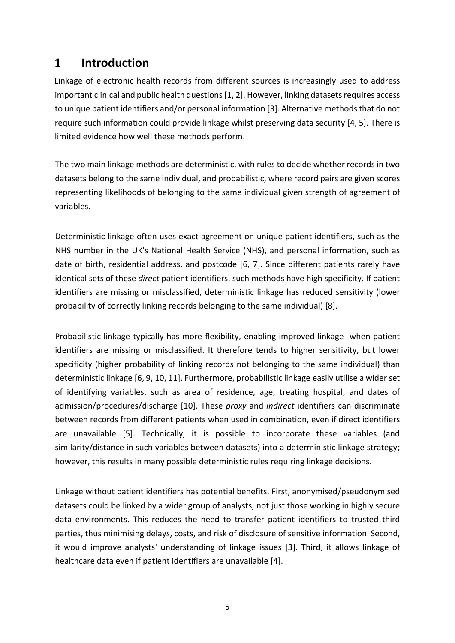# **1 Introduction**

Linkage of electronic health records from different sources is increasingly used to address important clinical and public health questions [1, 2]. However, linking datasets requires access to unique patient identifiers and/or personal information [3]. Alternative methods that do not require such information could provide linkage whilst preserving data security [4, 5]. There is limited evidence how well these methods perform.

The two main linkage methods are deterministic, with rules to decide whether records in two datasets belong to the same individual, and probabilistic, where record pairs are given scores representing likelihoods of belonging to the same individual given strength of agreement of variables.

Deterministic linkage often uses exact agreement on unique patient identifiers, such as the NHS number in the UK's National Health Service (NHS), and personal information, such as date of birth, residential address, and postcode [6, 7]. Since different patients rarely have identical sets of these *direct* patient identifiers, such methods have high specificity. If patient identifiers are missing or misclassified, deterministic linkage has reduced sensitivity (lower probability of correctly linking records belonging to the same individual) [8].

Probabilistic linkage typically has more flexibility, enabling improved linkage when patient identifiers are missing or misclassified. It therefore tends to higher sensitivity, but lower specificity (higher probability of linking records not belonging to the same individual) than deterministic linkage [6, 9, 10, 11]. Furthermore, probabilistic linkage easily utilise a wider set of identifying variables, such as area of residence, age, treating hospital, and dates of admission/procedures/discharge [10]. These *proxy* and *indirect* identifiers can discriminate between records from different patients when used in combination, even if direct identifiers are unavailable [5]. Technically, it is possible to incorporate these variables (and similarity/distance in such variables between datasets) into a deterministic linkage strategy; however, this results in many possible deterministic rules requiring linkage decisions.

Linkage without patient identifiers has potential benefits. First, anonymised/pseudonymised datasets could be linked by a wider group of analysts, not just those working in highly secure data environments. This reduces the need to transfer patient identifiers to trusted third parties, thus minimising delays, costs, and risk of disclosure of sensitive information. Second, it would improve analysts' understanding of linkage issues [3]. Third, it allows linkage of healthcare data even if patient identifiers are unavailable [4].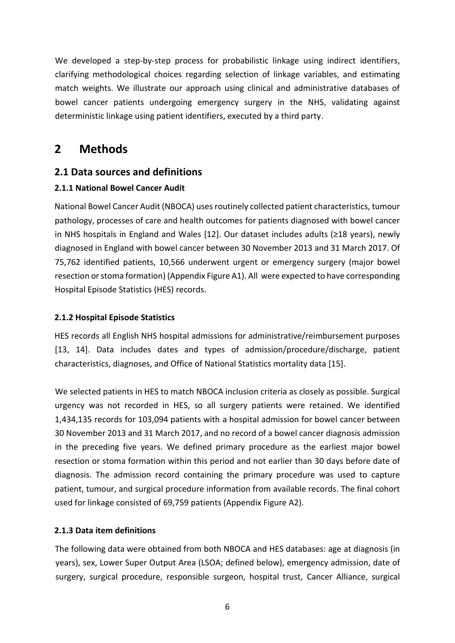We developed a step-by-step process for probabilistic linkage using indirect identifiers, clarifying methodological choices regarding selection of linkage variables, and estimating match weights. We illustrate our approach using clinical and administrative databases of bowel cancer patients undergoing emergency surgery in the NHS, validating against deterministic linkage using patient identifiers, executed by a third party.

# **2 Methods**

# **2.1 Data sources and definitions**

### **2.1.1 National Bowel Cancer Audit**

National Bowel Cancer Audit (NBOCA) uses routinely collected patient characteristics, tumour pathology, processes of care and health outcomes for patients diagnosed with bowel cancer in NHS hospitals in England and Wales [12]. Our dataset includes adults (≥18 years), newly diagnosed in England with bowel cancer between 30 November 2013 and 31 March 2017. Of 75,762 identified patients, 10,566 underwent urgent or emergency surgery (major bowel resection or stoma formation) (Appendix Figure A1). All were expected to have corresponding Hospital Episode Statistics (HES) records.

### **2.1.2 Hospital Episode Statistics**

HES records all English NHS hospital admissions for administrative/reimbursement purposes [13, 14]. Data includes dates and types of admission/procedure/discharge, patient characteristics, diagnoses, and Office of National Statistics mortality data [15].

We selected patients in HES to match NBOCA inclusion criteria as closely as possible. Surgical urgency was not recorded in HES, so all surgery patients were retained. We identified 1,434,135 records for 103,094 patients with a hospital admission for bowel cancer between 30 November 2013 and 31 March 2017, and no record of a bowel cancer diagnosis admission in the preceding five years. We defined primary procedure as the earliest major bowel resection or stoma formation within this period and not earlier than 30 days before date of diagnosis. The admission record containing the primary procedure was used to capture patient, tumour, and surgical procedure information from available records. The final cohort used for linkage consisted of 69,759 patients (Appendix Figure A2).

### **2.1.3 Data item definitions**

The following data were obtained from both NBOCA and HES databases: age at diagnosis (in years), sex, Lower Super Output Area (LSOA; defined below), emergency admission, date of surgery, surgical procedure, responsible surgeon, hospital trust, Cancer Alliance, surgical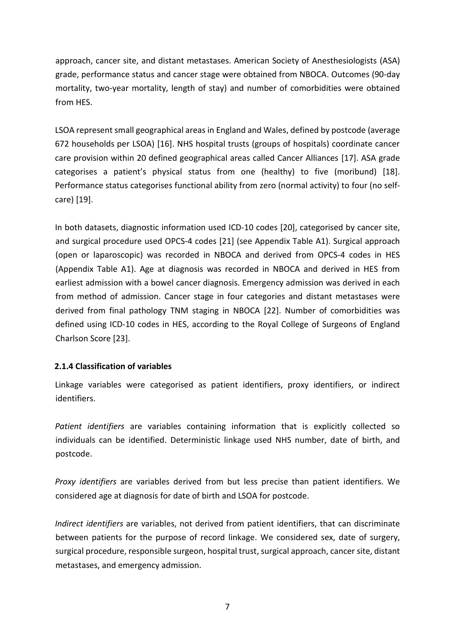approach, cancer site, and distant metastases. [American Society of Anesthesiologists](https://www.bing.com/search?q=American+Society+of+Anesthesiologists&filters=sid%3ae0dd3717-f37a-6490-0f43-dd909961a737&form=ENTLNK) (ASA) grade, performance status and cancer stage were obtained from NBOCA. Outcomes (90-day mortality, two-year mortality, length of stay) and number of comorbidities were obtained from HES.

LSOA represent small geographical areas in England and Wales, defined by postcode (average 672 households per LSOA) [16]. NHS hospital trusts (groups of hospitals) coordinate cancer care provision within 20 defined geographical areas called Cancer Alliances [17]. ASA grade categorises a patient's physical status from one (healthy) to five (moribund) [18]. Performance status categorises functional ability from zero (normal activity) to four (no selfcare) [19].

In both datasets, diagnostic information used ICD-10 codes [20], categorised by cancer site, and surgical procedure used OPCS-4 codes [21] (see Appendix Table A1). Surgical approach (open or laparoscopic) was recorded in NBOCA and derived from OPCS-4 codes in HES (Appendix Table A1). Age at diagnosis was recorded in NBOCA and derived in HES from earliest admission with a bowel cancer diagnosis. Emergency admission was derived in each from method of admission. Cancer stage in four categories and distant metastases were derived from final pathology TNM staging in NBOCA [22]. Number of comorbidities was defined using ICD-10 codes in HES, according to the Royal College of Surgeons of England Charlson Score [23].

### **2.1.4 Classification of variables**

Linkage variables were categorised as patient identifiers, proxy identifiers, or indirect identifiers.

*Patient identifiers* are variables containing information that is explicitly collected so individuals can be identified. Deterministic linkage used NHS number, date of birth, and postcode.

*Proxy identifiers* are variables derived from but less precise than patient identifiers. We considered age at diagnosis for date of birth and LSOA for postcode.

*Indirect identifiers* are variables, not derived from patient identifiers, that can discriminate between patients for the purpose of record linkage. We considered sex, date of surgery, surgical procedure, responsible surgeon, hospital trust, surgical approach, cancer site, distant metastases, and emergency admission.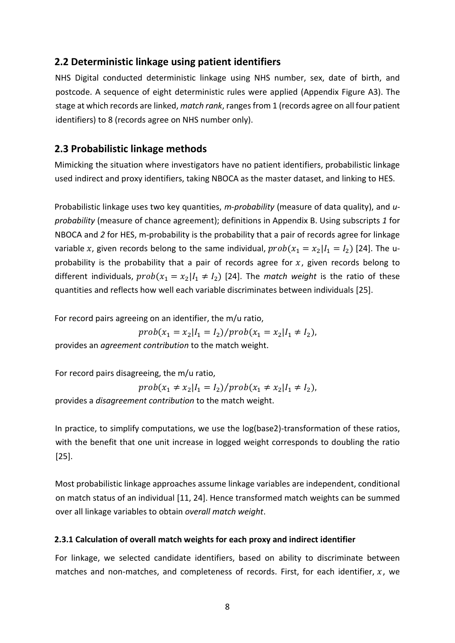### **2.2 Deterministic linkage using patient identifiers**

NHS Digital conducted deterministic linkage using NHS number, sex, date of birth, and postcode. A sequence of eight deterministic rules were applied (Appendix Figure A3). The stage at which records are linked, *match rank*, ranges from 1 (records agree on all four patient identifiers) to 8 (records agree on NHS number only).

### **2.3 Probabilistic linkage methods**

Mimicking the situation where investigators have no patient identifiers, probabilistic linkage used indirect and proxy identifiers, taking NBOCA as the master dataset, and linking to HES.

Probabilistic linkage uses two key quantities, *m-probability* (measure of data quality), and *uprobability* (measure of chance agreement); definitions in Appendix B. Using subscripts *1* for NBOCA and *2* for HES, m-probability is the probability that a pair of records agree for linkage variable x, given records belong to the same individual,  $prob(x_1 = x_2|I_1 = I_2)$  [24]. The uprobability is the probability that a pair of records agree for  $x$ , given records belong to different individuals,  $prob(x_1 = x_2 | I_1 \neq I_2)$  [24]. The *match weight* is the ratio of these quantities and reflects how well each variable discriminates between individuals [25].

For record pairs agreeing on an identifier, the m/u ratio,

 $prob(x_1 = x_2 | I_1 = I_2)/prob(x_1 = x_2 | I_1 \neq I_2),$ 

provides an *agreement contribution* to the match weight.

For record pairs disagreeing, the m/u ratio,

$$
prob(x_1 \neq x_2 | I_1 = I_2) / prob(x_1 \neq x_2 | I_1 \neq I_2),
$$

provides a *disagreement contribution* to the match weight.

In practice, to simplify computations, we use the log(base2)-transformation of these ratios, with the benefit that one unit increase in logged weight corresponds to doubling the ratio [25].

Most probabilistic linkage approaches assume linkage variables are independent, conditional on match status of an individual [11, 24]. Hence transformed match weights can be summed over all linkage variables to obtain *overall match weight*.

#### **2.3.1 Calculation of overall match weights for each proxy and indirect identifier**

For linkage, we selected candidate identifiers, based on ability to discriminate between matches and non-matches, and completeness of records. First, for each identifier,  $x$ , we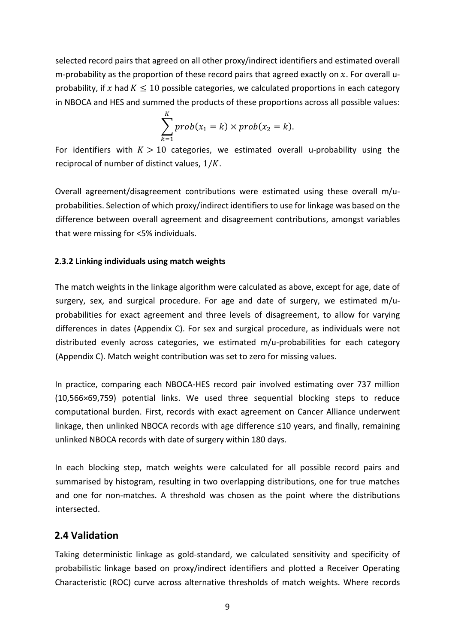selected record pairs that agreed on all other proxy/indirect identifiers and estimated overall m-probability as the proportion of these record pairs that agreed exactly on  $x$ . For overall uprobability, if x had  $K \le 10$  possible categories, we calculated proportions in each category in NBOCA and HES and summed the products of these proportions across all possible values:

$$
\sum_{k=1}^{K} prob(x_1 = k) \times prob(x_2 = k).
$$

For identifiers with  $K > 10$  categories, we estimated overall u-probability using the reciprocal of number of distinct values,  $1/K$ .

Overall agreement/disagreement contributions were estimated using these overall m/uprobabilities. Selection of which proxy/indirect identifiers to use for linkage was based on the difference between overall agreement and disagreement contributions, amongst variables that were missing for <5% individuals.

### **2.3.2 Linking individuals using match weights**

The match weights in the linkage algorithm were calculated as above, except for age, date of surgery, sex, and surgical procedure. For age and date of surgery, we estimated m/uprobabilities for exact agreement and three levels of disagreement, to allow for varying differences in dates (Appendix C). For sex and surgical procedure, as individuals were not distributed evenly across categories, we estimated m/u-probabilities for each category (Appendix C). Match weight contribution was set to zero for missing values.

In practice, comparing each NBOCA-HES record pair involved estimating over 737 million (10,566×69,759) potential links. We used three sequential blocking steps to reduce computational burden. First, records with exact agreement on Cancer Alliance underwent linkage, then unlinked NBOCA records with age difference ≤10 years, and finally, remaining unlinked NBOCA records with date of surgery within 180 days.

In each blocking step, match weights were calculated for all possible record pairs and summarised by histogram, resulting in two overlapping distributions, one for true matches and one for non-matches. A threshold was chosen as the point where the distributions intersected.

### **2.4 Validation**

Taking deterministic linkage as gold-standard, we calculated sensitivity and specificity of probabilistic linkage based on proxy/indirect identifiers and plotted a Receiver Operating Characteristic (ROC) curve across alternative thresholds of match weights. Where records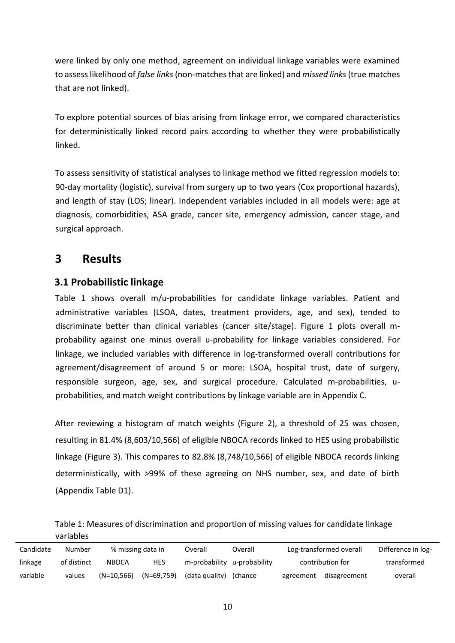were linked by only one method, agreement on individual linkage variables were examined to assess likelihood of *false links*(non-matches that are linked) and *missed links*(true matches that are not linked).

To explore potential sources of bias arising from linkage error, we compared characteristics for deterministically linked record pairs according to whether they were probabilistically linked.

To assess sensitivity of statistical analyses to linkage method we fitted regression models to: 90-day mortality (logistic), survival from surgery up to two years (Cox proportional hazards), and length of stay (LOS; linear). Independent variables included in all models were: age at diagnosis, comorbidities, ASA grade, cancer site, emergency admission, cancer stage, and surgical approach.

# **3 Results**

# **3.1 Probabilistic linkage**

Table 1 shows overall m/u-probabilities for candidate linkage variables. Patient and administrative variables (LSOA, dates, treatment providers, age, and sex), tended to discriminate better than clinical variables (cancer site/stage). Figure 1 plots overall mprobability against one minus overall u-probability for linkage variables considered. For linkage, we included variables with difference in log-transformed overall contributions for agreement/disagreement of around 5 or more: LSOA, hospital trust, date of surgery, responsible surgeon, age, sex, and surgical procedure. Calculated m-probabilities, uprobabilities, and match weight contributions by linkage variable are in Appendix C.

After reviewing a histogram of match weights (Figure 2), a threshold of 25 was chosen, resulting in 81.4% (8,603/10,566) of eligible NBOCA records linked to HES using probabilistic linkage (Figure 3). This compares to 82.8% (8,748/10,566) of eligible NBOCA records linking deterministically, with >99% of these agreeing on NHS number, sex, and date of birth (Appendix Table D1).

Table 1: Measures of discrimination and proportion of missing values for candidate linkage variables

| Candidate | Number      | % missing data in |              | Overall        | Overall       | Log-transformed overall | Difference in log- |             |
|-----------|-------------|-------------------|--------------|----------------|---------------|-------------------------|--------------------|-------------|
| linkage   | of distinct | <b>NBOCA</b>      | HES          | m-probability  | u-probability | contribution for        |                    | transformed |
| variable  | values      | (N=10.566)        | $(N=69,759)$ | (data quality) | (chance)      | agreement               | disagreement       | overall     |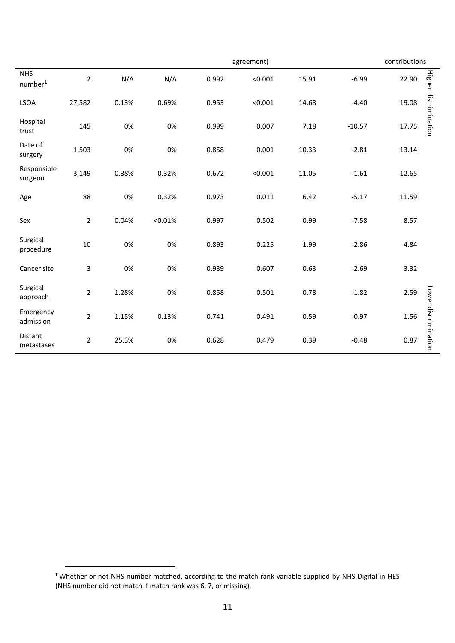|                                   |                |       |         | contributions |         |       |          |       |                       |
|-----------------------------------|----------------|-------|---------|---------------|---------|-------|----------|-------|-----------------------|
| <b>NHS</b><br>number <sup>1</sup> | $\overline{2}$ | N/A   | N/A     | 0.992         | < 0.001 | 15.91 | $-6.99$  | 22.90 | Higher discrimination |
| <b>LSOA</b>                       | 27,582         | 0.13% | 0.69%   | 0.953         | < 0.001 | 14.68 | $-4.40$  | 19.08 |                       |
| Hospital<br>trust                 | 145            | 0%    | 0%      | 0.999         | 0.007   | 7.18  | $-10.57$ | 17.75 |                       |
| Date of<br>surgery                | 1,503          | 0%    | 0%      | 0.858         | 0.001   | 10.33 | $-2.81$  | 13.14 |                       |
| Responsible<br>surgeon            | 3,149          | 0.38% | 0.32%   | 0.672         | < 0.001 | 11.05 | $-1.61$  | 12.65 |                       |
| Age                               | 88             | 0%    | 0.32%   | 0.973         | 0.011   | 6.42  | $-5.17$  | 11.59 |                       |
| Sex                               | $\overline{2}$ | 0.04% | < 0.01% | 0.997         | 0.502   | 0.99  | $-7.58$  | 8.57  |                       |
| Surgical<br>procedure             | 10             | 0%    | 0%      | 0.893         | 0.225   | 1.99  | $-2.86$  | 4.84  |                       |
| Cancer site                       | $\mathbf{3}$   | 0%    | 0%      | 0.939         | 0.607   | 0.63  | $-2.69$  | 3.32  |                       |
| Surgical<br>approach              | $\overline{2}$ | 1.28% | 0%      | 0.858         | 0.501   | 0.78  | $-1.82$  | 2.59  |                       |
| Emergency<br>admission            | $\overline{2}$ | 1.15% | 0.13%   | 0.741         | 0.491   | 0.59  | $-0.97$  | 1.56  | Lower discrimination  |
| Distant<br>metastases             | $\overline{2}$ | 25.3% | 0%      | 0.628         | 0.479   | 0.39  | $-0.48$  | 0.87  |                       |

**.** 

<sup>1</sup> Whether or not NHS number matched, according to the match rank variable supplied by NHS Digital in HES (NHS number did not match if match rank was 6, 7, or missing).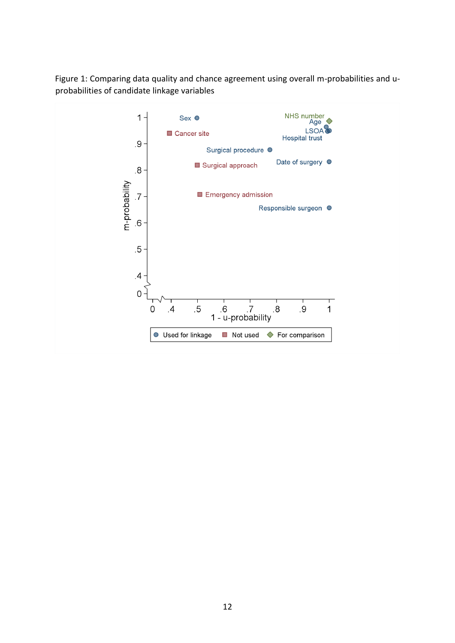Figure 1: Comparing data quality and chance agreement using overall m-probabilities and uprobabilities of candidate linkage variables

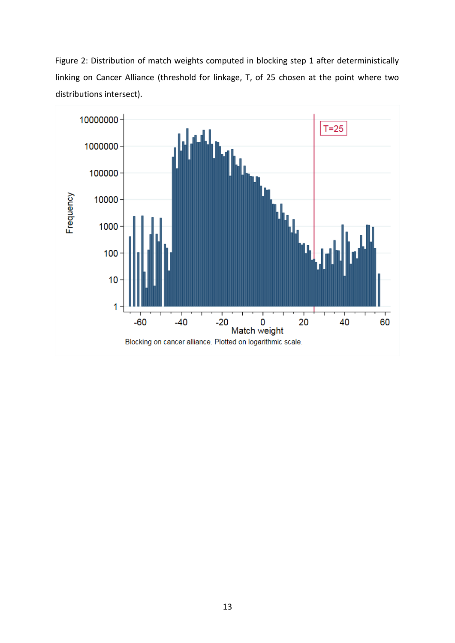Figure 2: Distribution of match weights computed in blocking step 1 after deterministically linking on Cancer Alliance (threshold for linkage, T, of 25 chosen at the point where two distributions intersect).

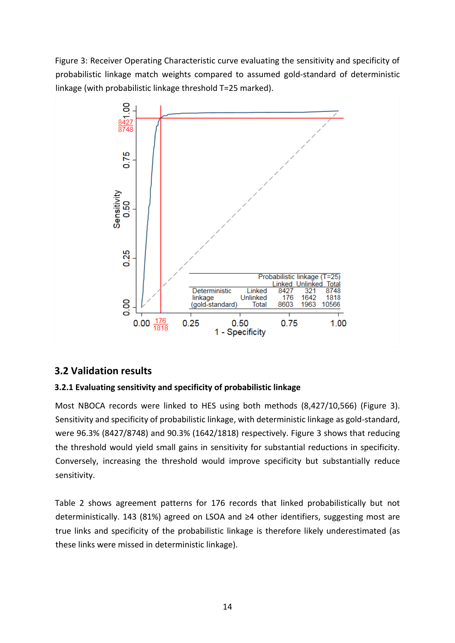Figure 3: Receiver Operating Characteristic curve evaluating the sensitivity and specificity of probabilistic linkage match weights compared to assumed gold-standard of deterministic linkage (with probabilistic linkage threshold T=25 marked).



# **3.2 Validation results**

### **3.2.1 Evaluating sensitivity and specificity of probabilistic linkage**

Most NBOCA records were linked to HES using both methods (8,427/10,566) (Figure 3). Sensitivity and specificity of probabilistic linkage, with deterministic linkage as gold-standard, were 96.3% (8427/8748) and 90.3% (1642/1818) respectively. Figure 3 shows that reducing the threshold would yield small gains in sensitivity for substantial reductions in specificity. Conversely, increasing the threshold would improve specificity but substantially reduce sensitivity.

Table 2 shows agreement patterns for 176 records that linked probabilistically but not deterministically. 143 (81%) agreed on LSOA and ≥4 other identifiers, suggesting most are true links and specificity of the probabilistic linkage is therefore likely underestimated (as these links were missed in deterministic linkage).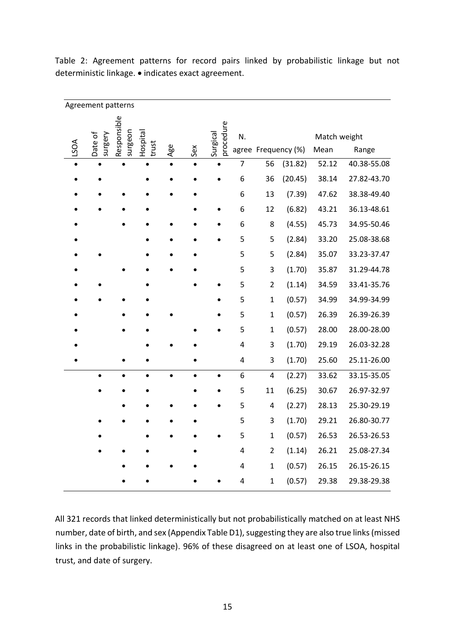| Agreement patterns |                    |                        |                   |     |     |                       |                |                |                     |                      |             |
|--------------------|--------------------|------------------------|-------------------|-----|-----|-----------------------|----------------|----------------|---------------------|----------------------|-------------|
| LSOA               | Date of<br>surgery | Responsible<br>surgeon | Hospital<br>trust | Age | Sex | procedure<br>Surgical | N.             |                | agree Frequency (%) | Match weight<br>Mean | Range       |
|                    |                    |                        |                   |     |     |                       | $\overline{7}$ | 56             | (31.82)             | 52.12                | 40.38-55.08 |
|                    |                    |                        |                   |     |     |                       | 6              | 36             | (20.45)             | 38.14                | 27.82-43.70 |
|                    |                    |                        |                   |     |     |                       | 6              | 13             | (7.39)              | 47.62                | 38.38-49.40 |
|                    |                    |                        |                   |     |     |                       | 6              | 12             | (6.82)              | 43.21                | 36.13-48.61 |
|                    |                    |                        |                   |     |     |                       | 6              | 8              | (4.55)              | 45.73                | 34.95-50.46 |
|                    |                    |                        |                   |     |     |                       | 5              | 5              | (2.84)              | 33.20                | 25.08-38.68 |
|                    |                    |                        |                   |     |     |                       | 5              | 5              | (2.84)              | 35.07                | 33.23-37.47 |
|                    |                    |                        |                   |     |     |                       | 5              | 3              | (1.70)              | 35.87                | 31.29-44.78 |
|                    |                    |                        |                   |     |     |                       | 5              | $\overline{2}$ | (1.14)              | 34.59                | 33.41-35.76 |
|                    |                    |                        |                   |     |     |                       | 5              | $\overline{1}$ | (0.57)              | 34.99                | 34.99-34.99 |
|                    |                    |                        |                   |     |     |                       | 5              | $\mathbf{1}$   | (0.57)              | 26.39                | 26.39-26.39 |
|                    |                    |                        |                   |     |     |                       | 5              | $\mathbf{1}$   | (0.57)              | 28.00                | 28.00-28.00 |
|                    |                    |                        |                   |     |     |                       | 4              | 3              | (1.70)              | 29.19                | 26.03-32.28 |
|                    |                    |                        |                   |     |     |                       | 4              | 3              | (1.70)              | 25.60                | 25.11-26.00 |
|                    |                    |                        | $\bullet$         |     |     | $\bullet$             | 6              | 4              | (2.27)              | 33.62                | 33.15-35.05 |
|                    |                    |                        |                   |     |     |                       | 5              | 11             | (6.25)              | 30.67                | 26.97-32.97 |
|                    |                    |                        |                   |     |     |                       | 5              | 4              | (2.27)              | 28.13                | 25.30-29.19 |
|                    |                    |                        |                   |     |     |                       | 5              | 3              | (1.70)              | 29.21                | 26.80-30.77 |
|                    |                    |                        |                   |     |     |                       | 5              | $\mathbf{1}$   | (0.57)              | 26.53                | 26.53-26.53 |
|                    |                    |                        |                   |     |     |                       | 4              | $\overline{2}$ | (1.14)              | 26.21                | 25.08-27.34 |
|                    |                    |                        |                   |     |     |                       | 4              | $\mathbf 1$    | (0.57)              | 26.15                | 26.15-26.15 |
|                    |                    |                        |                   |     |     |                       | 4              | $\mathbf 1$    | (0.57)              | 29.38                | 29.38-29.38 |
|                    |                    |                        |                   |     |     |                       |                |                |                     |                      |             |

Table 2: Agreement patterns for record pairs linked by probabilistic linkage but not deterministic linkage. • indicates exact agreement.

All 321 records that linked deterministically but not probabilistically matched on at least NHS number, date of birth, and sex (Appendix Table D1), suggesting they are also true links(missed links in the probabilistic linkage). 96% of these disagreed on at least one of LSOA, hospital trust, and date of surgery.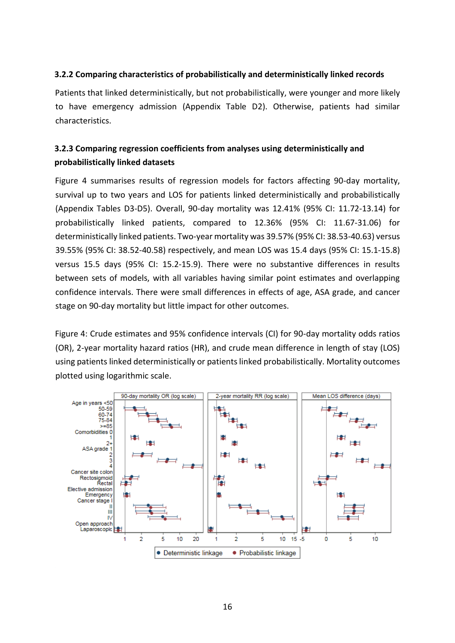### **3.2.2 Comparing characteristics of probabilistically and deterministically linked records**

Patients that linked deterministically, but not probabilistically, were younger and more likely to have emergency admission (Appendix Table D2). Otherwise, patients had similar characteristics.

### **3.2.3 Comparing regression coefficients from analyses using deterministically and probabilistically linked datasets**

Figure 4 summarises results of regression models for factors affecting 90-day mortality, survival up to two years and LOS for patients linked deterministically and probabilistically (Appendix Tables D3-D5). Overall, 90-day mortality was 12.41% (95% CI: 11.72-13.14) for probabilistically linked patients, compared to 12.36% (95% CI: 11.67-31.06) for deterministically linked patients. Two-year mortality was 39.57% (95% CI: 38.53-40.63) versus 39.55% (95% CI: 38.52-40.58) respectively, and mean LOS was 15.4 days (95% CI: 15.1-15.8) versus 15.5 days (95% CI: 15.2-15.9). There were no substantive differences in results between sets of models, with all variables having similar point estimates and overlapping confidence intervals. There were small differences in effects of age, ASA grade, and cancer stage on 90-day mortality but little impact for other outcomes.

Figure 4: Crude estimates and 95% confidence intervals (CI) for 90-day mortality odds ratios (OR), 2-year mortality hazard ratios (HR), and crude mean difference in length of stay (LOS) using patients linked deterministically or patients linked probabilistically. Mortality outcomes plotted using logarithmic scale.

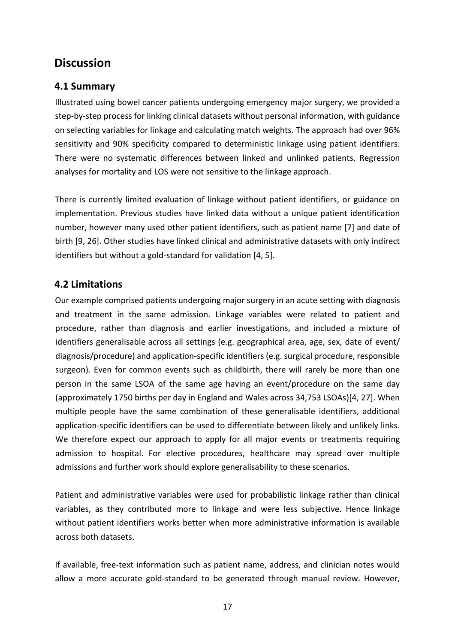# **Discussion**

# **4.1 Summary**

Illustrated using bowel cancer patients undergoing emergency major surgery, we provided a step-by-step process for linking clinical datasets without personal information, with guidance on selecting variables for linkage and calculating match weights. The approach had over 96% sensitivity and 90% specificity compared to deterministic linkage using patient identifiers. There were no systematic differences between linked and unlinked patients. Regression analyses for mortality and LOS were not sensitive to the linkage approach.

There is currently limited evaluation of linkage without patient identifiers, or guidance on implementation. Previous studies have linked data without a unique patient identification number, however many used other patient identifiers, such as patient name [7] and date of birth [9, 26]. Other studies have linked clinical and administrative datasets with only indirect identifiers but without a gold-standard for validation [4, 5].

### **4.2 Limitations**

Our example comprised patients undergoing major surgery in an acute setting with diagnosis and treatment in the same admission. Linkage variables were related to patient and procedure, rather than diagnosis and earlier investigations, and included a mixture of identifiers generalisable across all settings (e.g. geographical area, age, sex, date of event/ diagnosis/procedure) and application-specific identifiers (e.g. surgical procedure, responsible surgeon). Even for common events such as childbirth, there will rarely be more than one person in the same LSOA of the same age having an event/procedure on the same day (approximately 1750 births per day in England and Wales across 34,753 LSOAs)[4, 27]. When multiple people have the same combination of these generalisable identifiers, additional application-specific identifiers can be used to differentiate between likely and unlikely links. We therefore expect our approach to apply for all major events or treatments requiring admission to hospital. For elective procedures, healthcare may spread over multiple admissions and further work should explore generalisability to these scenarios.

Patient and administrative variables were used for probabilistic linkage rather than clinical variables, as they contributed more to linkage and were less subjective. Hence linkage without patient identifiers works better when more administrative information is available across both datasets.

If available, free-text information such as patient name, address, and clinician notes would allow a more accurate gold-standard to be generated through manual review. However,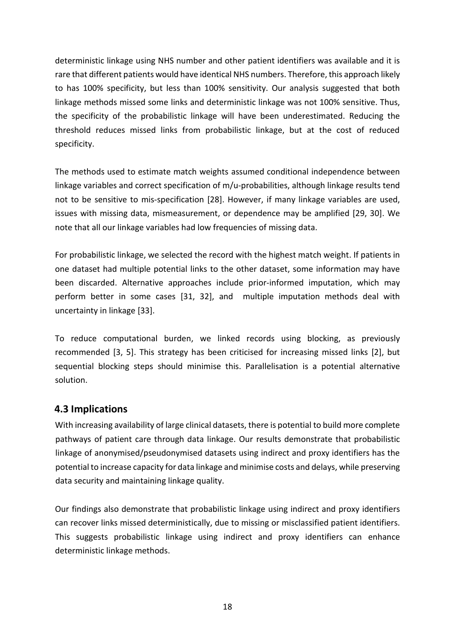deterministic linkage using NHS number and other patient identifiers was available and it is rare that different patients would have identical NHS numbers. Therefore, this approach likely to has 100% specificity, but less than 100% sensitivity. Our analysis suggested that both linkage methods missed some links and deterministic linkage was not 100% sensitive. Thus, the specificity of the probabilistic linkage will have been underestimated. Reducing the threshold reduces missed links from probabilistic linkage, but at the cost of reduced specificity.

The methods used to estimate match weights assumed conditional independence between linkage variables and correct specification of m/u-probabilities, although linkage results tend not to be sensitive to mis-specification [28]. However, if many linkage variables are used, issues with missing data, mismeasurement, or dependence may be amplified [29, 30]. We note that all our linkage variables had low frequencies of missing data.

For probabilistic linkage, we selected the record with the highest match weight. If patients in one dataset had multiple potential links to the other dataset, some information may have been discarded. Alternative approaches include prior-informed imputation, which may perform better in some cases [31, 32], and multiple imputation methods deal with uncertainty in linkage [33].

To reduce computational burden, we linked records using blocking, as previously recommended [3, 5]. This strategy has been criticised for increasing missed links [2], but sequential blocking steps should minimise this. Parallelisation is a potential alternative solution.

### **4.3 Implications**

With increasing availability of large clinical datasets, there is potential to build more complete pathways of patient care through data linkage. Our results demonstrate that probabilistic linkage of anonymised/pseudonymised datasets using indirect and proxy identifiers has the potential to increase capacity for data linkage and minimise costs and delays, while preserving data security and maintaining linkage quality.

Our findings also demonstrate that probabilistic linkage using indirect and proxy identifiers can recover links missed deterministically, due to missing or misclassified patient identifiers. This suggests probabilistic linkage using indirect and proxy identifiers can enhance deterministic linkage methods.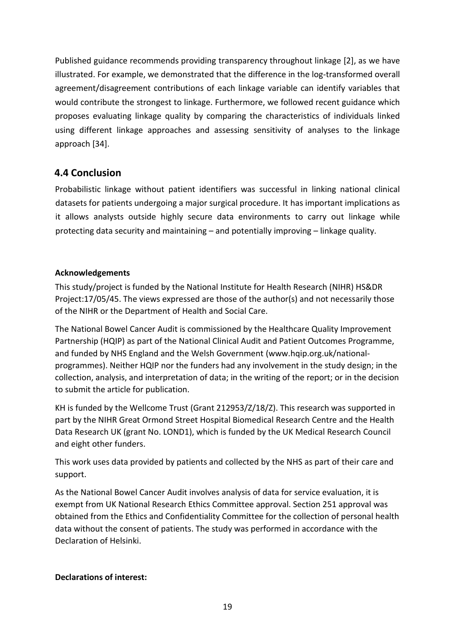Published guidance recommends providing transparency throughout linkage [2], as we have illustrated. For example, we demonstrated that the difference in the log-transformed overall agreement/disagreement contributions of each linkage variable can identify variables that would contribute the strongest to linkage. Furthermore, we followed recent guidance which proposes evaluating linkage quality by comparing the characteristics of individuals linked using different linkage approaches and assessing sensitivity of analyses to the linkage approach [34].

# **4.4 Conclusion**

Probabilistic linkage without patient identifiers was successful in linking national clinical datasets for patients undergoing a major surgical procedure. It has important implications as it allows analysts outside highly secure data environments to carry out linkage while protecting data security and maintaining – and potentially improving – linkage quality.

### **Acknowledgements**

This study/project is funded by the National Institute for Health Research (NIHR) HS&DR Project:17/05/45. The views expressed are those of the author(s) and not necessarily those of the NIHR or the Department of Health and Social Care.

The National Bowel Cancer Audit is commissioned by the Healthcare Quality Improvement Partnership (HQIP) as part of the National Clinical Audit and Patient Outcomes Programme, and funded by NHS England and the Welsh Government (www.hqip.org.uk/nationalprogrammes). Neither HQIP nor the funders had any involvement in the study design; in the collection, analysis, and interpretation of data; in the writing of the report; or in the decision to submit the article for publication.

KH is funded by the Wellcome Trust (Grant 212953/Z/18/Z). This research was supported in part by the NIHR Great Ormond Street Hospital Biomedical Research Centre and the Health Data Research UK (grant No. LOND1), which is funded by the UK Medical Research Council and eight other funders.

This work uses data provided by patients and collected by the NHS as part of their care and support.

As the National Bowel Cancer Audit involves analysis of data for service evaluation, it is exempt from UK National Research Ethics Committee approval. Section 251 approval was obtained from the Ethics and Confidentiality Committee for the collection of personal health data without the consent of patients. The study was performed in accordance with the Declaration of Helsinki.

### **Declarations of interest:**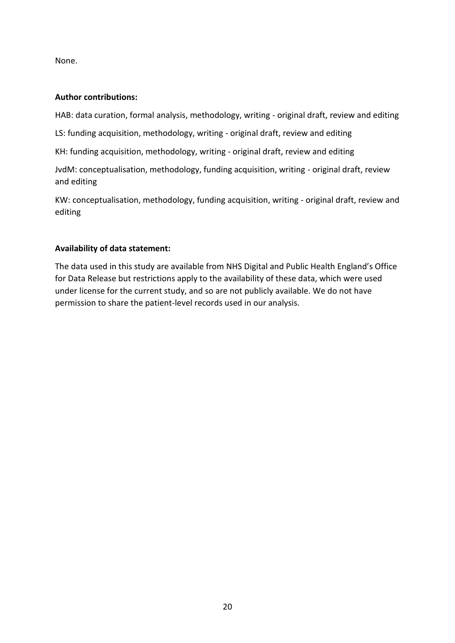None.

### **Author contributions:**

HAB: data curation, formal analysis, methodology, writing - original draft, review and editing

LS: funding acquisition, methodology, writing - original draft, review and editing

KH: funding acquisition, methodology, writing - original draft, review and editing

JvdM: conceptualisation, methodology, funding acquisition, writing - original draft, review and editing

KW: conceptualisation, methodology, funding acquisition, writing - original draft, review and editing

### **Availability of data statement:**

The data used in this study are available from NHS Digital and Public Health England's Office for Data Release but restrictions apply to the availability of these data, which were used under license for the current study, and so are not publicly available. We do not have permission to share the patient-level records used in our analysis.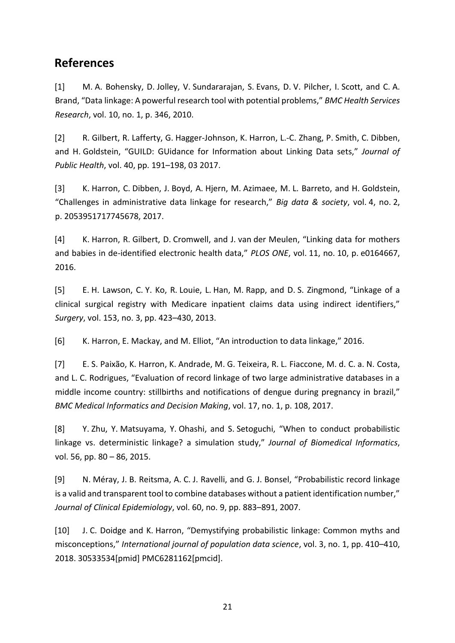# **References**

[1] M. A. Bohensky, D. Jolley, V. Sundararajan, S. Evans, D. V. Pilcher, I. Scott, and C. A. Brand, "Data linkage: A powerful research tool with potential problems," *BMC Health Services Research*, vol. 10, no. 1, p. 346, 2010.

[2] R. Gilbert, R. Lafferty, G. Hagger-Johnson, K. Harron, L.-C. Zhang, P. Smith, C. Dibben, and H. Goldstein, "GUILD: GUidance for Information about Linking Data sets," *Journal of Public Health*, vol. 40, pp. 191–198, 03 2017.

[3] K. Harron, C. Dibben, J. Boyd, A. Hjern, M. Azimaee, M. L. Barreto, and H. Goldstein, "Challenges in administrative data linkage for research," *Big data & society*, vol. 4, no. 2, p. 2053951717745678, 2017.

[4] K. Harron, R. Gilbert, D. Cromwell, and J. van der Meulen, "Linking data for mothers and babies in de-identified electronic health data," *PLOS ONE*, vol. 11, no. 10, p. e0164667, 2016.

[5] E. H. Lawson, C. Y. Ko, R. Louie, L. Han, M. Rapp, and D. S. Zingmond, "Linkage of a clinical surgical registry with Medicare inpatient claims data using indirect identifiers," *Surgery*, vol. 153, no. 3, pp. 423–430, 2013.

[6] K. Harron, E. Mackay, and M. Elliot, "An introduction to data linkage," 2016.

[7] E. S. Paixão, K. Harron, K. Andrade, M. G. Teixeira, R. L. Fiaccone, M. d. C. a. N. Costa, and L. C. Rodrigues, "Evaluation of record linkage of two large administrative databases in a middle income country: stillbirths and notifications of dengue during pregnancy in brazil," *BMC Medical Informatics and Decision Making*, vol. 17, no. 1, p. 108, 2017.

[8] Y. Zhu, Y. Matsuyama, Y. Ohashi, and S. Setoguchi, "When to conduct probabilistic linkage vs. deterministic linkage? a simulation study," *Journal of Biomedical Informatics*, vol. 56, pp. 80 – 86, 2015.

[9] N. Méray, J. B. Reitsma, A. C. J. Ravelli, and G. J. Bonsel, "Probabilistic record linkage is a valid and transparent tool to combine databases without a patient identification number," *Journal of Clinical Epidemiology*, vol. 60, no. 9, pp. 883–891, 2007.

[10] J. C. Doidge and K. Harron, "Demystifying probabilistic linkage: Common myths and misconceptions," *International journal of population data science*, vol. 3, no. 1, pp. 410–410, 2018. 30533534[pmid] PMC6281162[pmcid].

21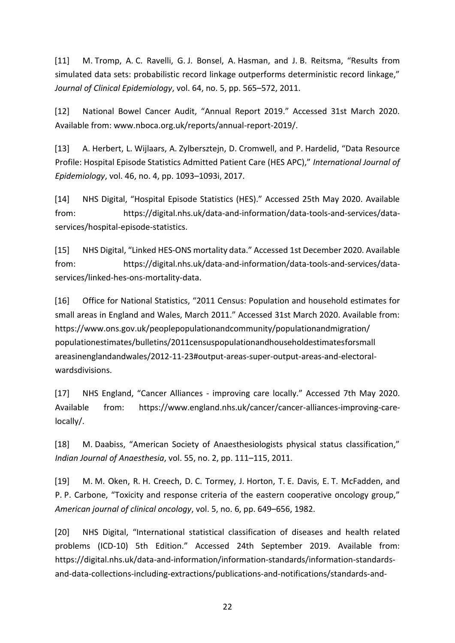[11] M. Tromp, A. C. Ravelli, G. J. Bonsel, A. Hasman, and J. B. Reitsma, "Results from simulated data sets: probabilistic record linkage outperforms deterministic record linkage," *Journal of Clinical Epidemiology*, vol. 64, no. 5, pp. 565–572, 2011.

[12] National Bowel Cancer Audit, "Annual Report 2019." Accessed 31st March 2020. Available from: www.nboca.org.uk/reports/annual-report-2019/.

[13] A. Herbert, L. Wijlaars, A. Zylbersztejn, D. Cromwell, and P. Hardelid, "Data Resource Profile: Hospital Episode Statistics Admitted Patient Care (HES APC)," *International Journal of Epidemiology*, vol. 46, no. 4, pp. 1093–1093i, 2017.

[14] NHS Digital, "Hospital Episode Statistics (HES)." Accessed 25th May 2020. Available from: https://digital.nhs.uk/data-and-information/data-tools-and-services/dataservices/hospital-episode-statistics.

[15] NHS Digital, "Linked HES-ONS mortality data." Accessed 1st December 2020. Available from: https://digital.nhs.uk/data-and-information/data-tools-and-services/dataservices/linked-hes-ons-mortality-data.

[16] Office for National Statistics, "2011 Census: Population and household estimates for small areas in England and Wales, March 2011." Accessed 31st March 2020. Available from: https://www.ons.gov.uk/peoplepopulationandcommunity/populationandmigration/ populationestimates/bulletins/2011censuspopulationandhouseholdestimatesforsmall areasinenglandandwales/2012-11-23#output-areas-super-output-areas-and-electoralwardsdivisions.

[17] NHS England, "Cancer Alliances - improving care locally." Accessed 7th May 2020. Available from: https://www.england.nhs.uk/cancer/cancer-alliances-improving-carelocally/.

[18] M. Daabiss, "American Society of Anaesthesiologists physical status classification," *Indian Journal of Anaesthesia*, vol. 55, no. 2, pp. 111–115, 2011.

[19] M. M. Oken, R. H. Creech, D. C. Tormey, J. Horton, T. E. Davis, E. T. McFadden, and P. P. Carbone, "Toxicity and response criteria of the eastern cooperative oncology group," *American journal of clinical oncology*, vol. 5, no. 6, pp. 649–656, 1982.

[20] NHS Digital, "International statistical classification of diseases and health related problems (ICD-10) 5th Edition." Accessed 24th September 2019. Available from: https://digital.nhs.uk/data-and-information/information-standards/information-standardsand-data-collections-including-extractions/publications-and-notifications/standards-and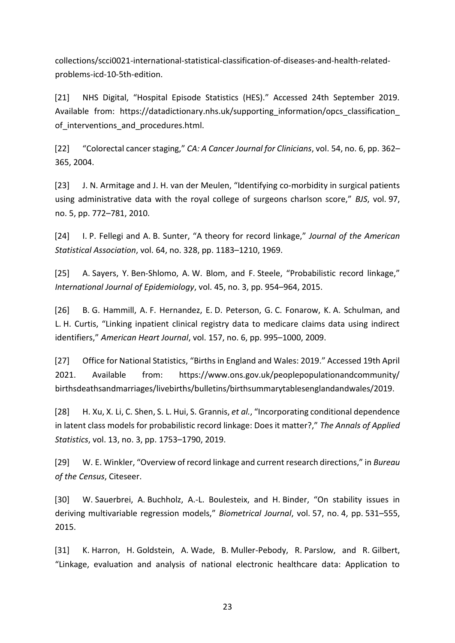collections/scci0021-international-statistical-classification-of-diseases-and-health-relatedproblems-icd-10-5th-edition.

[21] NHS Digital, "Hospital Episode Statistics (HES)." Accessed 24th September 2019. Available from: https://datadictionary.nhs.uk/supporting information/opcs classification of interventions and procedures.html.

[22] "Colorectal cancer staging," *CA: A Cancer Journal for Clinicians*, vol. 54, no. 6, pp. 362– 365, 2004.

[23] J. N. Armitage and J. H. van der Meulen, "Identifying co-morbidity in surgical patients using administrative data with the royal college of surgeons charlson score," *BJS*, vol. 97, no. 5, pp. 772–781, 2010.

[24] I. P. Fellegi and A. B. Sunter, "A theory for record linkage," *Journal of the American Statistical Association*, vol. 64, no. 328, pp. 1183–1210, 1969.

[25] A. Sayers, Y. Ben-Shlomo, A. W. Blom, and F. Steele, "Probabilistic record linkage," *International Journal of Epidemiology*, vol. 45, no. 3, pp. 954–964, 2015.

[26] B. G. Hammill, A. F. Hernandez, E. D. Peterson, G. C. Fonarow, K. A. Schulman, and L. H. Curtis, "Linking inpatient clinical registry data to medicare claims data using indirect identifiers," *American Heart Journal*, vol. 157, no. 6, pp. 995–1000, 2009.

[27] Office for National Statistics, "Births in England and Wales: 2019." Accessed 19th April 2021. Available from: https://www.ons.gov.uk/peoplepopulationandcommunity/ birthsdeathsandmarriages/livebirths/bulletins/birthsummarytablesenglandandwales/2019.

[28] H. Xu, X. Li, C. Shen, S. L. Hui, S. Grannis, *et al.*, "Incorporating conditional dependence in latent class models for probabilistic record linkage: Does it matter?," *The Annals of Applied Statistics*, vol. 13, no. 3, pp. 1753–1790, 2019.

[29] W. E. Winkler, "Overview of record linkage and current research directions," in *Bureau of the Census*, Citeseer.

[30] W. Sauerbrei, A. Buchholz, A.-L. Boulesteix, and H. Binder, "On stability issues in deriving multivariable regression models," *Biometrical Journal*, vol. 57, no. 4, pp. 531–555, 2015.

[31] K. Harron, H. Goldstein, A. Wade, B. Muller-Pebody, R. Parslow, and R. Gilbert, "Linkage, evaluation and analysis of national electronic healthcare data: Application to

23